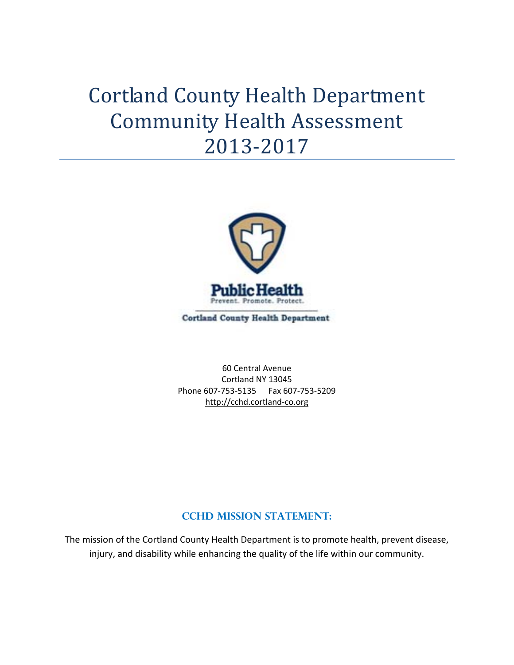# Cortland County Health Department Community Health Assessment 2013‐2017



60 Central Avenue Cortland NY 13045 Phone 607‐753‐5135 Fax 607‐753‐5209 http://cchd.cortland‐co.org

## **CCHD MISSION STATEMENT:**

The mission of the Cortland County Health Department is to promote health, prevent disease, injury, and disability while enhancing the quality of the life within our community.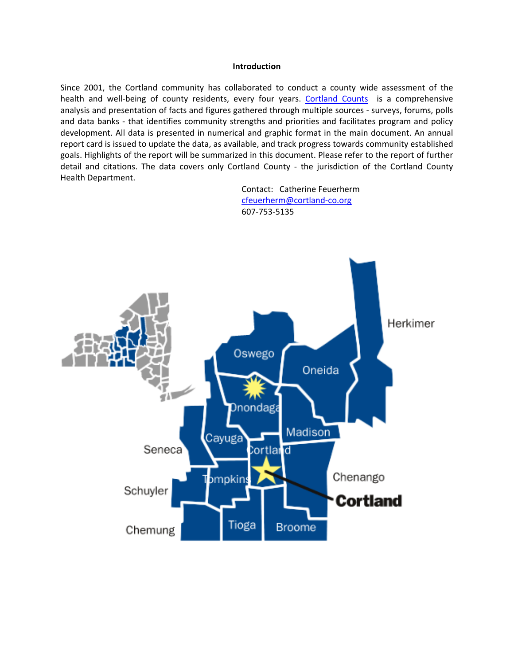#### **Introduction**

Since 2001, the Cortland community has collaborated to conduct a county wide assessment of the health and well-being of county residents, every four years. Cortland Counts is a comprehensive analysis and presentation of facts and figures gathered through multiple sources ‐ surveys, forums, polls and data banks - that identifies community strengths and priorities and facilitates program and policy development. All data is presented in numerical and graphic format in the main document. An annual report card is issued to update the data, as available, and track progress towards community established goals. Highlights of the report will be summarized in this document. Please refer to the report of further detail and citations. The data covers only Cortland County - the jurisdiction of the Cortland County Health Department.



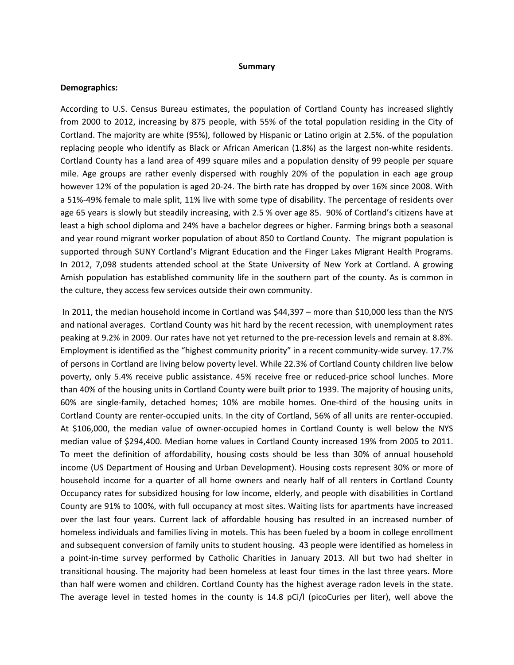#### **Summary**

#### **Demographics:**

According to U.S. Census Bureau estimates, the population of Cortland County has increased slightly from 2000 to 2012, increasing by 875 people, with 55% of the total population residing in the City of Cortland. The majority are white (95%), followed by Hispanic or Latino origin at 2.5%. of the population replacing people who identify as Black or African American (1.8%) as the largest non‐white residents. Cortland County has a land area of 499 square miles and a population density of 99 people per square mile. Age groups are rather evenly dispersed with roughly 20% of the population in each age group however 12% of the population is aged 20-24. The birth rate has dropped by over 16% since 2008. With a 51%‐49% female to male split, 11% live with some type of disability. The percentage of residents over age 65 years is slowly but steadily increasing, with 2.5 % over age 85. 90% of Cortland's citizens have at least a high school diploma and 24% have a bachelor degrees or higher. Farming brings both a seasonal and year round migrant worker population of about 850 to Cortland County. The migrant population is supported through SUNY Cortland's Migrant Education and the Finger Lakes Migrant Health Programs. In 2012, 7,098 students attended school at the State University of New York at Cortland. A growing Amish population has established community life in the southern part of the county. As is common in the culture, they access few services outside their own community.

In 2011, the median household income in Cortland was \$44,397 – more than \$10,000 less than the NYS and national averages. Cortland County was hit hard by the recent recession, with unemployment rates peaking at 9.2% in 2009. Our rates have not yet returned to the pre-recession levels and remain at 8.8%. Employment is identified as the "highest community priority" in a recent community-wide survey. 17.7% of persons in Cortland are living below poverty level. While 22.3% of Cortland County children live below poverty, only 5.4% receive public assistance. 45% receive free or reduced‐price school lunches. More than 40% of the housing units in Cortland County were built prior to 1939. The majority of housing units, 60% are single‐family, detached homes; 10% are mobile homes. One‐third of the housing units in Cortland County are renter‐occupied units. In the city of Cortland, 56% of all units are renter‐occupied. At \$106,000, the median value of owner‐occupied homes in Cortland County is well below the NYS median value of \$294,400. Median home values in Cortland County increased 19% from 2005 to 2011. To meet the definition of affordability, housing costs should be less than 30% of annual household income (US Department of Housing and Urban Development). Housing costs represent 30% or more of household income for a quarter of all home owners and nearly half of all renters in Cortland County Occupancy rates for subsidized housing for low income, elderly, and people with disabilities in Cortland County are 91% to 100%, with full occupancy at most sites. Waiting lists for apartments have increased over the last four years. Current lack of affordable housing has resulted in an increased number of homeless individuals and families living in motels. This has been fueled by a boom in college enrollment and subsequent conversion of family units to student housing. 43 people were identified as homeless in a point-in-time survey performed by Catholic Charities in January 2013. All but two had shelter in transitional housing. The majority had been homeless at least four times in the last three years. More than half were women and children. Cortland County has the highest average radon levels in the state. The average level in tested homes in the county is 14.8 pCi/l (picoCuries per liter), well above the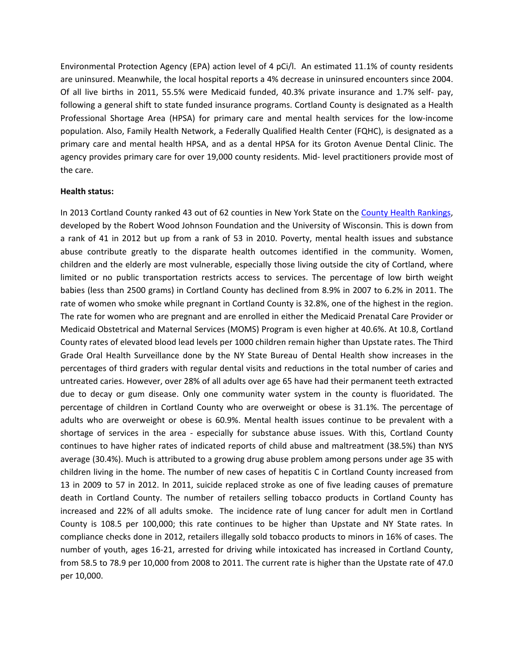Environmental Protection Agency (EPA) action level of 4 pCi/l. An estimated 11.1% of county residents are uninsured. Meanwhile, the local hospital reports a 4% decrease in uninsured encounters since 2004. Of all live births in 2011, 55.5% were Medicaid funded, 40.3% private insurance and 1.7% self‐ pay, following a general shift to state funded insurance programs. Cortland County is designated as a Health Professional Shortage Area (HPSA) for primary care and mental health services for the low‐income population. Also, Family Health Network, a Federally Qualified Health Center (FQHC), is designated as a primary care and mental health HPSA, and as a dental HPSA for its Groton Avenue Dental Clinic. The agency provides primary care for over 19,000 county residents. Mid‐ level practitioners provide most of the care.

#### **Health status:**

In 2013 Cortland County ranked 43 out of 62 counties in New York State on the County Health Rankings, developed by the Robert Wood Johnson Foundation and the University of Wisconsin. This is down from a rank of 41 in 2012 but up from a rank of 53 in 2010. Poverty, mental health issues and substance abuse contribute greatly to the disparate health outcomes identified in the community. Women, children and the elderly are most vulnerable, especially those living outside the city of Cortland, where limited or no public transportation restricts access to services. The percentage of low birth weight babies (less than 2500 grams) in Cortland County has declined from 8.9% in 2007 to 6.2% in 2011. The rate of women who smoke while pregnant in Cortland County is 32.8%, one of the highest in the region. The rate for women who are pregnant and are enrolled in either the Medicaid Prenatal Care Provider or Medicaid Obstetrical and Maternal Services (MOMS) Program is even higher at 40.6%. At 10.8, Cortland County rates of elevated blood lead levels per 1000 children remain higher than Upstate rates. The Third Grade Oral Health Surveillance done by the NY State Bureau of Dental Health show increases in the percentages of third graders with regular dental visits and reductions in the total number of caries and untreated caries. However, over 28% of all adults over age 65 have had their permanent teeth extracted due to decay or gum disease. Only one community water system in the county is fluoridated. The percentage of children in Cortland County who are overweight or obese is 31.1%. The percentage of adults who are overweight or obese is 60.9%. Mental health issues continue to be prevalent with a shortage of services in the area - especially for substance abuse issues. With this, Cortland County continues to have higher rates of indicated reports of child abuse and maltreatment (38.5%) than NYS average (30.4%). Much is attributed to a growing drug abuse problem among persons under age 35 with children living in the home. The number of new cases of hepatitis C in Cortland County increased from 13 in 2009 to 57 in 2012. In 2011, suicide replaced stroke as one of five leading causes of premature death in Cortland County. The number of retailers selling tobacco products in Cortland County has increased and 22% of all adults smoke. The incidence rate of lung cancer for adult men in Cortland County is 108.5 per 100,000; this rate continues to be higher than Upstate and NY State rates. In compliance checks done in 2012, retailers illegally sold tobacco products to minors in 16% of cases. The number of youth, ages 16‐21, arrested for driving while intoxicated has increased in Cortland County, from 58.5 to 78.9 per 10,000 from 2008 to 2011. The current rate is higher than the Upstate rate of 47.0 per 10,000.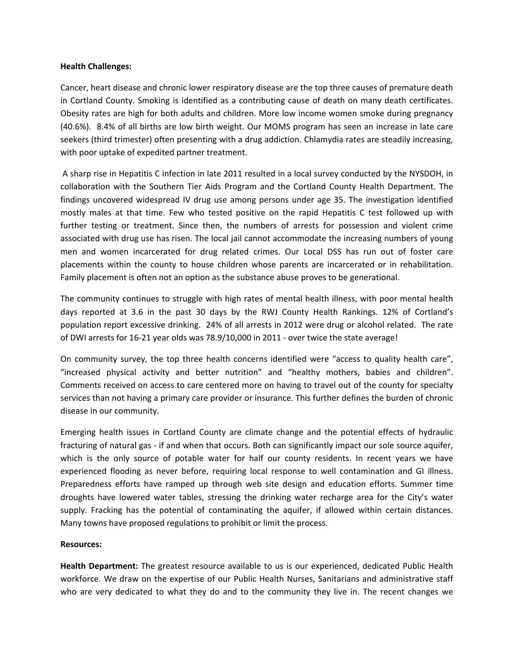#### **Health Challenges:**

Cancer, heart disease and chronic lower respiratory disease are the top three causes of premature death in Cortland County. Smoking is identified as a contributing cause of death on many death certificates. Obesity rates are high for both adults and children. More low income women smoke during pregnancy (40.6%). 8.4% of all births are low birth weight. Our MOMS program has seen an increase in late care seekers (third trimester) often presenting with a drug addiction. Chlamydia rates are steadily increasing, with poor uptake of expedited partner treatment.

A sharp rise in Hepatitis C infection in late 2011 resulted in a local survey conducted by the NYSDOH, in collaboration with the Southern Tier Aids Program and the Cortland County Health Department. The findings uncovered widespread IV drug use among persons under age 35. The investigation identified mostly males at that time. Few who tested positive on the rapid Hepatitis C test followed up with further testing or treatment. Since then, the numbers of arrests for possession and violent crime associated with drug use has risen. The local jail cannot accommodate the increasing numbers of young men and women incarcerated for drug related crimes. Our Local DSS has run out of foster care placements within the county to house children whose parents are incarcerated or in rehabilitation. Family placement is often not an option as the substance abuse proves to be generational.

The community continues to struggle with high rates of mental health illness, with poor mental health days reported at 3.6 in the past 30 days by the RWJ County Health Rankings. 12% of Cortland's population report excessive drinking. 24% of all arrests in 2012 were drug or alcohol related. The rate of DWI arrests for 16‐21 year olds was 78.9/10,000 in 2011 ‐ over twice the state average!

On community survey, the top three health concerns identified were "access to quality health care", "increased physical activity and better nutrition" and "healthy mothers, babies and children". Comments received on access to care centered more on having to travel out of the county for specialty services than not having a primary care provider or insurance. This further defines the burden of chronic disease in our community.

Emerging health issues in Cortland County are climate change and the potential effects of hydraulic fracturing of natural gas ‐ if and when that occurs. Both can significantly impact our sole source aquifer, which is the only source of potable water for half our county residents. In recent years we have experienced flooding as never before, requiring local response to well contamination and GI illness. Preparedness efforts have ramped up through web site design and education efforts. Summer time droughts have lowered water tables, stressing the drinking water recharge area for the City's water supply. Fracking has the potential of contaminating the aquifer, if allowed within certain distances. Many towns have proposed regulations to prohibit or limit the process.

### **Resources:**

**Health Department:** The greatest resource available to us is our experienced, dedicated Public Health workforce. We draw on the expertise of our Public Health Nurses, Sanitarians and administrative staff who are very dedicated to what they do and to the community they live in. The recent changes we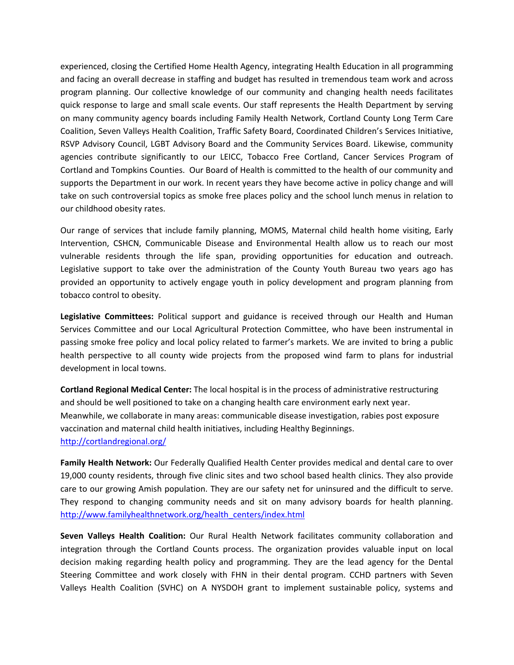experienced, closing the Certified Home Health Agency, integrating Health Education in all programming and facing an overall decrease in staffing and budget has resulted in tremendous team work and across program planning. Our collective knowledge of our community and changing health needs facilitates quick response to large and small scale events. Our staff represents the Health Department by serving on many community agency boards including Family Health Network, Cortland County Long Term Care Coalition, Seven Valleys Health Coalition, Traffic Safety Board, Coordinated Children's Services Initiative, RSVP Advisory Council, LGBT Advisory Board and the Community Services Board. Likewise, community agencies contribute significantly to our LEICC, Tobacco Free Cortland, Cancer Services Program of Cortland and Tompkins Counties. Our Board of Health is committed to the health of our community and supports the Department in our work. In recent years they have become active in policy change and will take on such controversial topics as smoke free places policy and the school lunch menus in relation to our childhood obesity rates.

Our range of services that include family planning, MOMS, Maternal child health home visiting, Early Intervention, CSHCN, Communicable Disease and Environmental Health allow us to reach our most vulnerable residents through the life span, providing opportunities for education and outreach. Legislative support to take over the administration of the County Youth Bureau two years ago has provided an opportunity to actively engage youth in policy development and program planning from tobacco control to obesity.

**Legislative Committees:** Political support and guidance is received through our Health and Human Services Committee and our Local Agricultural Protection Committee, who have been instrumental in passing smoke free policy and local policy related to farmer's markets. We are invited to bring a public health perspective to all county wide projects from the proposed wind farm to plans for industrial development in local towns.

**Cortland Regional Medical Center:** The local hospital is in the process of administrative restructuring and should be well positioned to take on a changing health care environment early next year. Meanwhile, we collaborate in many areas: communicable disease investigation, rabies post exposure vaccination and maternal child health initiatives, including Healthy Beginnings. http://cortlandregional.org/

**Family Health Network:** Our Federally Qualified Health Center provides medical and dental care to over 19,000 county residents, through five clinic sites and two school based health clinics. They also provide care to our growing Amish population. They are our safety net for uninsured and the difficult to serve. They respond to changing community needs and sit on many advisory boards for health planning. http://www.familyhealthnetwork.org/health\_centers/index.html

**Seven Valleys Health Coalition:** Our Rural Health Network facilitates community collaboration and integration through the Cortland Counts process. The organization provides valuable input on local decision making regarding health policy and programming. They are the lead agency for the Dental Steering Committee and work closely with FHN in their dental program. CCHD partners with Seven Valleys Health Coalition (SVHC) on A NYSDOH grant to implement sustainable policy, systems and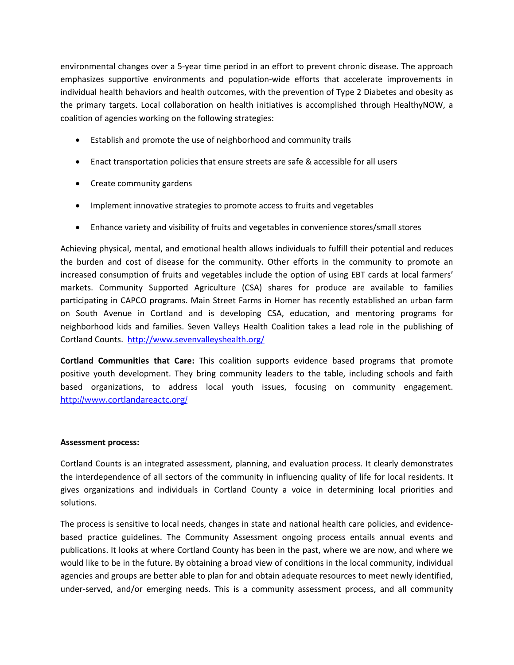environmental changes over a 5‐year time period in an effort to prevent chronic disease. The approach emphasizes supportive environments and population-wide efforts that accelerate improvements in individual health behaviors and health outcomes, with the prevention of Type 2 Diabetes and obesity as the primary targets. Local collaboration on health initiatives is accomplished through HealthyNOW, a coalition of agencies working on the following strategies:

- Establish and promote the use of neighborhood and community trails
- Enact transportation policies that ensure streets are safe & accessible for all users
- Create community gardens
- Implement innovative strategies to promote access to fruits and vegetables
- Enhance variety and visibility of fruits and vegetables in convenience stores/small stores

Achieving physical, mental, and emotional health allows individuals to fulfill their potential and reduces the burden and cost of disease for the community. Other efforts in the community to promote an increased consumption of fruits and vegetables include the option of using EBT cards at local farmers' markets. Community Supported Agriculture (CSA) shares for produce are available to families participating in CAPCO programs. Main Street Farms in Homer has recently established an urban farm on South Avenue in Cortland and is developing CSA, education, and mentoring programs for neighborhood kids and families. Seven Valleys Health Coalition takes a lead role in the publishing of Cortland Counts. http://www.sevenvalleyshealth.org/

**Cortland Communities that Care:** This coalition supports evidence based programs that promote positive youth development. They bring community leaders to the table, including schools and faith based organizations, to address local youth issues, focusing on community engagement. http://www.cortlandareactc.org/

#### **Assessment process:**

Cortland Counts is an integrated assessment, planning, and evaluation process. It clearly demonstrates the interdependence of all sectors of the community in influencing quality of life for local residents. It gives organizations and individuals in Cortland County a voice in determining local priorities and solutions.

The process is sensitive to local needs, changes in state and national health care policies, and evidence‐ based practice guidelines. The Community Assessment ongoing process entails annual events and publications. It looks at where Cortland County has been in the past, where we are now, and where we would like to be in the future. By obtaining a broad view of conditions in the local community, individual agencies and groups are better able to plan for and obtain adequate resources to meet newly identified, under‐served, and/or emerging needs. This is a community assessment process, and all community